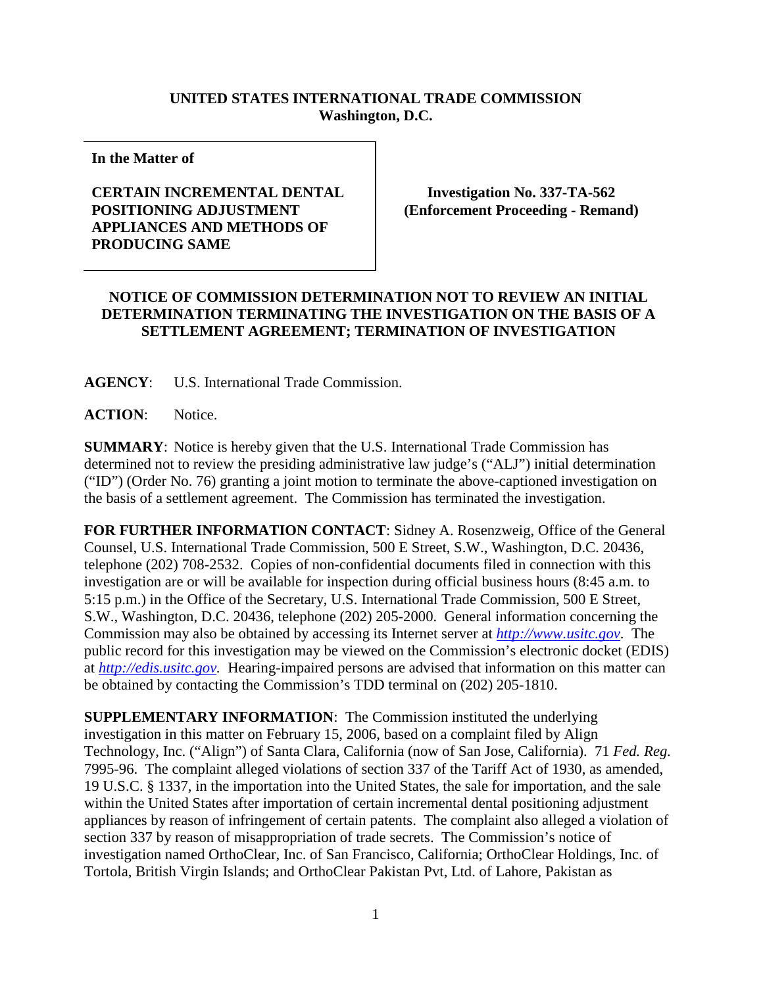## **UNITED STATES INTERNATIONAL TRADE COMMISSION Washington, D.C.**

**In the Matter of** 

## **CERTAIN INCREMENTAL DENTAL POSITIONING ADJUSTMENT APPLIANCES AND METHODS OF PRODUCING SAME**

**Investigation No. 337-TA-562 (Enforcement Proceeding - Remand)**

## **NOTICE OF COMMISSION DETERMINATION NOT TO REVIEW AN INITIAL DETERMINATION TERMINATING THE INVESTIGATION ON THE BASIS OF A SETTLEMENT AGREEMENT; TERMINATION OF INVESTIGATION**

**AGENCY**: U.S. International Trade Commission.

**ACTION**: Notice.

**SUMMARY**: Notice is hereby given that the U.S. International Trade Commission has determined not to review the presiding administrative law judge's ("ALJ") initial determination ("ID") (Order No. 76) granting a joint motion to terminate the above-captioned investigation on the basis of a settlement agreement. The Commission has terminated the investigation.

**FOR FURTHER INFORMATION CONTACT**: Sidney A. Rosenzweig, Office of the General Counsel, U.S. International Trade Commission, 500 E Street, S.W., Washington, D.C. 20436, telephone (202) 708-2532. Copies of non-confidential documents filed in connection with this investigation are or will be available for inspection during official business hours (8:45 a.m. to 5:15 p.m.) in the Office of the Secretary, U.S. International Trade Commission, 500 E Street, S.W., Washington, D.C. 20436, telephone (202) 205-2000. General information concerning the Commission may also be obtained by accessing its Internet server at *[http://www.usitc.gov](http://www.usitc.gov/)*. The public record for this investigation may be viewed on the Commission's electronic docket (EDIS) at *[http://edis.usitc.gov.](http://edis.usitc.gov/)* Hearing-impaired persons are advised that information on this matter can be obtained by contacting the Commission's TDD terminal on (202) 205-1810.

**SUPPLEMENTARY INFORMATION**: The Commission instituted the underlying investigation in this matter on February 15, 2006, based on a complaint filed by Align Technology, Inc. ("Align") of Santa Clara, California (now of San Jose, California). 71 *Fed. Reg.* 7995-96. The complaint alleged violations of section 337 of the Tariff Act of 1930, as amended, 19 U.S.C. § 1337, in the importation into the United States, the sale for importation, and the sale within the United States after importation of certain incremental dental positioning adjustment appliances by reason of infringement of certain patents. The complaint also alleged a violation of section 337 by reason of misappropriation of trade secrets. The Commission's notice of investigation named OrthoClear, Inc. of San Francisco, California; OrthoClear Holdings, Inc. of Tortola, British Virgin Islands; and OrthoClear Pakistan Pvt, Ltd. of Lahore, Pakistan as